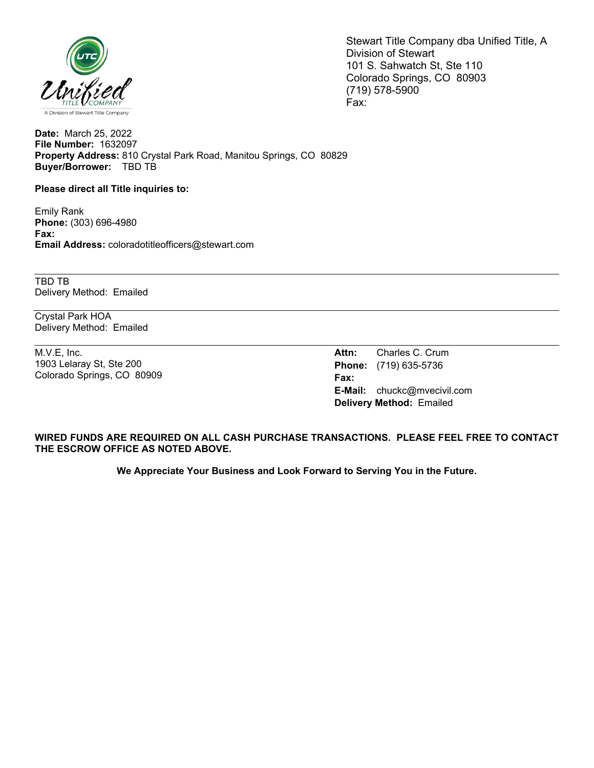

Stewart Title Company dba Unified Title, A Division of Stewart 101 S. Sahwatch St, Ste 110 Colorado Springs, CO 80903 (719) 578-5900 Fax:

**Date:** March 25, 2022 **File Number:** 1632097 **Property Address:** 810 Crystal Park Road, Manitou Springs, CO 80829 **Buyer/Borrower:** TBD TB

**Please direct all Title inquiries to:**

Emily Rank **Phone:** (303) 696-4980 **Fax: Email Address:** coloradotitleofficers@stewart.com

TBD TB Delivery Method: Emailed

Crystal Park HOA Delivery Method: Emailed

M.V.E, Inc. 1903 Lelaray St, Ste 200 Colorado Springs, CO 80909

**Attn:** Charles C. Crum **Phone:** (719) 635-5736 **Fax: E-Mail:** chuckc@mvecivil.com **Delivery Method:** Emailed

**WIRED FUNDS ARE REQUIRED ON ALL CASH PURCHASE TRANSACTIONS. PLEASE FEEL FREE TO CONTACT THE ESCROW OFFICE AS NOTED ABOVE.**

**We Appreciate Your Business and Look Forward to Serving You in the Future.**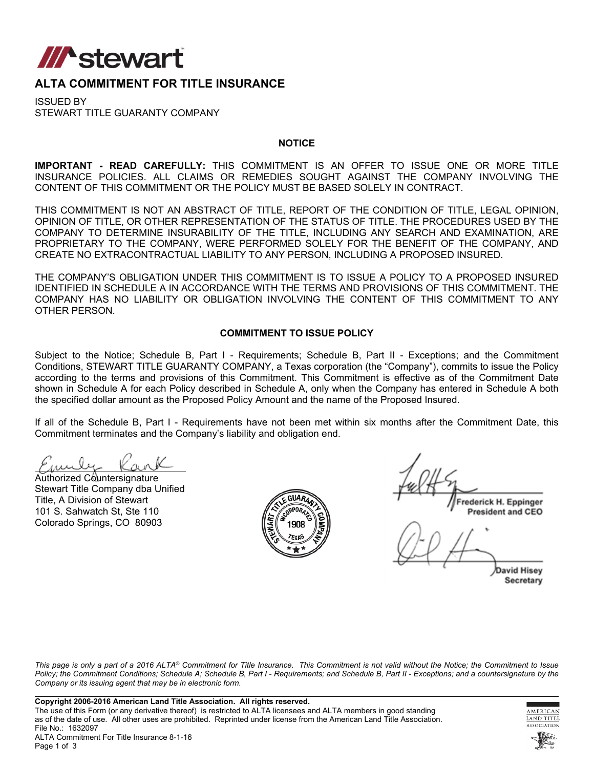

## **ALTA COMMITMENT FOR TITLE INSURANCE**

ISSUED BY STEWART TITLE GUARANTY COMPANY

#### **NOTICE**

**IMPORTANT - READ CAREFULLY:** THIS COMMITMENT IS AN OFFER TO ISSUE ONE OR MORE TITLE INSURANCE POLICIES. ALL CLAIMS OR REMEDIES SOUGHT AGAINST THE COMPANY INVOLVING THE CONTENT OF THIS COMMITMENT OR THE POLICY MUST BE BASED SOLELY IN CONTRACT.

THIS COMMITMENT IS NOT AN ABSTRACT OF TITLE, REPORT OF THE CONDITION OF TITLE, LEGAL OPINION, OPINION OF TITLE, OR OTHER REPRESENTATION OF THE STATUS OF TITLE. THE PROCEDURES USED BY THE COMPANY TO DETERMINE INSURABILITY OF THE TITLE, INCLUDING ANY SEARCH AND EXAMINATION, ARE PROPRIETARY TO THE COMPANY, WERE PERFORMED SOLELY FOR THE BENEFIT OF THE COMPANY, AND CREATE NO EXTRACONTRACTUAL LIABILITY TO ANY PERSON, INCLUDING A PROPOSED INSURED.

THE COMPANY'S OBLIGATION UNDER THIS COMMITMENT IS TO ISSUE A POLICY TO A PROPOSED INSURED IDENTIFIED IN SCHEDULE A IN ACCORDANCE WITH THE TERMS AND PROVISIONS OF THIS COMMITMENT. THE COMPANY HAS NO LIABILITY OR OBLIGATION INVOLVING THE CONTENT OF THIS COMMITMENT TO ANY OTHER PERSON.

#### **COMMITMENT TO ISSUE POLICY**

Subject to the Notice; Schedule B, Part I - Requirements; Schedule B, Part II - Exceptions; and the Commitment Conditions, STEWART TITLE GUARANTY COMPANY, a Texas corporation (the "Company"), commits to issue the Policy according to the terms and provisions of this Commitment. This Commitment is effective as of the Commitment Date shown in Schedule A for each Policy described in Schedule A, only when the Company has entered in Schedule A both the specified dollar amount as the Proposed Policy Amount and the name of the Proposed Insured.

If all of the Schedule B, Part I - Requirements have not been met within six months after the Commitment Date, this Commitment terminates and the Company's liability and obligation end.

Authorized Countersignature Stewart Title Company dba Unified Title, A Division of Stewart 101 S. Sahwatch St, Ste 110 Colorado Springs, CO 80903



rederick H. Eppinger **President and CEO** 

**David Hisey** Secretary

*This page is only a part of a 2016 ALTA® Commitment for Title Insurance. This Commitment is not valid without the Notice; the Commitment to Issue Policy; the Commitment Conditions; Schedule A; Schedule B, Part I - Requirements; and Schedule B, Part II - Exceptions; and a countersignature by the Company or its issuing agent that may be in electronic form.*



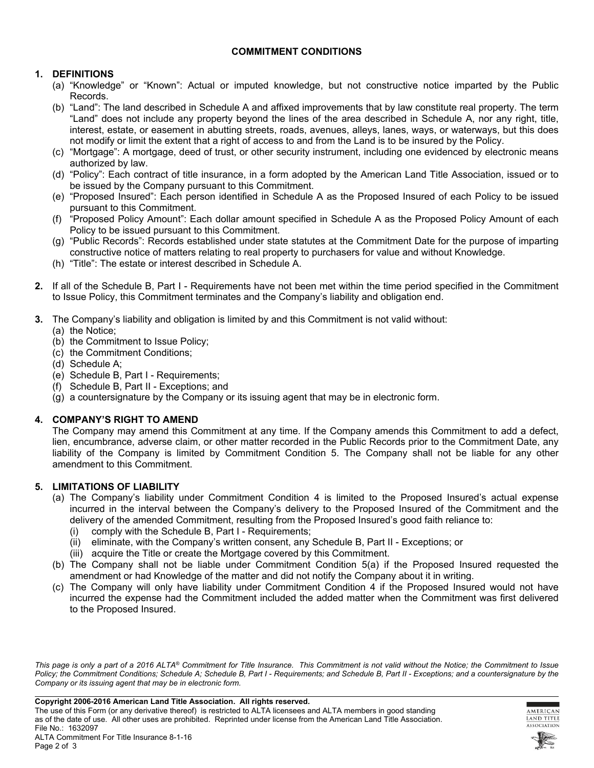## **COMMITMENT CONDITIONS**

## **1. DEFINITIONS**

- (a) "Knowledge" or "Known": Actual or imputed knowledge, but not constructive notice imparted by the Public Records.
- (b) "Land": The land described in Schedule A and affixed improvements that by law constitute real property. The term "Land" does not include any property beyond the lines of the area described in Schedule A, nor any right, title, interest, estate, or easement in abutting streets, roads, avenues, alleys, lanes, ways, or waterways, but this does not modify or limit the extent that a right of access to and from the Land is to be insured by the Policy.
- (c) "Mortgage": A mortgage, deed of trust, or other security instrument, including one evidenced by electronic means authorized by law.
- (d) "Policy": Each contract of title insurance, in a form adopted by the American Land Title Association, issued or to be issued by the Company pursuant to this Commitment.
- (e) "Proposed Insured": Each person identified in Schedule A as the Proposed Insured of each Policy to be issued pursuant to this Commitment.
- (f) "Proposed Policy Amount": Each dollar amount specified in Schedule A as the Proposed Policy Amount of each Policy to be issued pursuant to this Commitment.
- (g) "Public Records": Records established under state statutes at the Commitment Date for the purpose of imparting constructive notice of matters relating to real property to purchasers for value and without Knowledge.
- (h) "Title": The estate or interest described in Schedule A.
- **2.** If all of the Schedule B, Part I Requirements have not been met within the time period specified in the Commitment to Issue Policy, this Commitment terminates and the Company's liability and obligation end.
- **3.** The Company's liability and obligation is limited by and this Commitment is not valid without:
	- (a) the Notice;
	- (b) the Commitment to Issue Policy;
	- (c) the Commitment Conditions;
	- (d) Schedule A;
	- (e) Schedule B, Part I Requirements;
	- (f) Schedule B, Part II Exceptions; and
	- (g) a countersignature by the Company or its issuing agent that may be in electronic form.

## **4. COMPANY'S RIGHT TO AMEND**

The Company may amend this Commitment at any time. If the Company amends this Commitment to add a defect, lien, encumbrance, adverse claim, or other matter recorded in the Public Records prior to the Commitment Date, any liability of the Company is limited by Commitment Condition 5. The Company shall not be liable for any other amendment to this Commitment.

## **5. LIMITATIONS OF LIABILITY**

- (a) The Company's liability under Commitment Condition 4 is limited to the Proposed Insured's actual expense incurred in the interval between the Company's delivery to the Proposed Insured of the Commitment and the delivery of the amended Commitment, resulting from the Proposed Insured's good faith reliance to:
	- (i) comply with the Schedule B, Part I Requirements;
	- (ii) eliminate, with the Company's written consent, any Schedule B, Part II Exceptions; or
	- (iii) acquire the Title or create the Mortgage covered by this Commitment.
- (b) The Company shall not be liable under Commitment Condition 5(a) if the Proposed Insured requested the amendment or had Knowledge of the matter and did not notify the Company about it in writing.
- (c) The Company will only have liability under Commitment Condition 4 if the Proposed Insured would not have incurred the expense had the Commitment included the added matter when the Commitment was first delivered to the Proposed Insured.

*This page is only a part of a 2016 ALTA® Commitment for Title Insurance. This Commitment is not valid without the Notice; the Commitment to Issue Policy; the Commitment Conditions; Schedule A; Schedule B, Part I - Requirements; and Schedule B, Part II - Exceptions; and a countersignature by the Company or its issuing agent that may be in electronic form.*



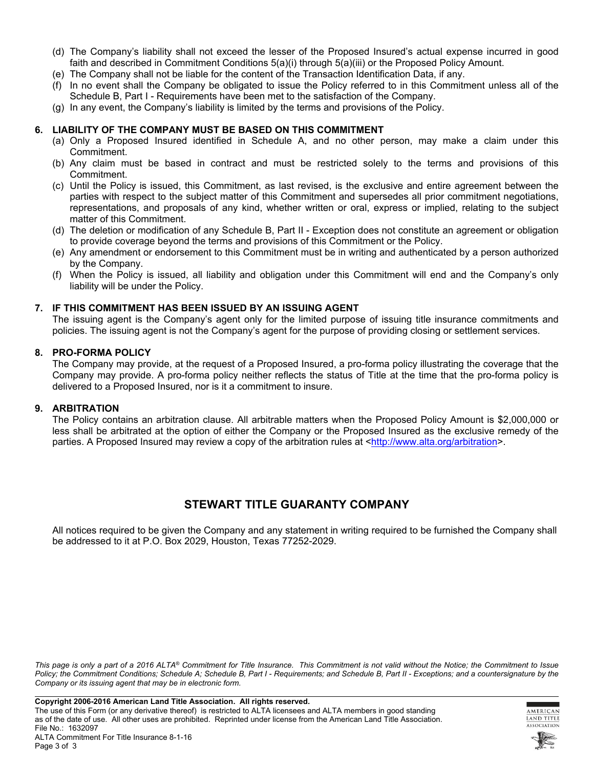- (d) The Company's liability shall not exceed the lesser of the Proposed Insured's actual expense incurred in good faith and described in Commitment Conditions 5(a)(i) through 5(a)(iii) or the Proposed Policy Amount.
- (e) The Company shall not be liable for the content of the Transaction Identification Data, if any.
- (f) In no event shall the Company be obligated to issue the Policy referred to in this Commitment unless all of the Schedule B, Part I - Requirements have been met to the satisfaction of the Company.
- (g) In any event, the Company's liability is limited by the terms and provisions of the Policy.

#### **6. LIABILITY OF THE COMPANY MUST BE BASED ON THIS COMMITMENT**

- (a) Only a Proposed Insured identified in Schedule A, and no other person, may make a claim under this Commitment.
- (b) Any claim must be based in contract and must be restricted solely to the terms and provisions of this Commitment.
- (c) Until the Policy is issued, this Commitment, as last revised, is the exclusive and entire agreement between the parties with respect to the subject matter of this Commitment and supersedes all prior commitment negotiations, representations, and proposals of any kind, whether written or oral, express or implied, relating to the subject matter of this Commitment.
- (d) The deletion or modification of any Schedule B, Part II Exception does not constitute an agreement or obligation to provide coverage beyond the terms and provisions of this Commitment or the Policy.
- (e) Any amendment or endorsement to this Commitment must be in writing and authenticated by a person authorized by the Company.
- (f) When the Policy is issued, all liability and obligation under this Commitment will end and the Company's only liability will be under the Policy.

#### **7. IF THIS COMMITMENT HAS BEEN ISSUED BY AN ISSUING AGENT**

The issuing agent is the Company's agent only for the limited purpose of issuing title insurance commitments and policies. The issuing agent is not the Company's agent for the purpose of providing closing or settlement services.

#### **8. PRO-FORMA POLICY**

The Company may provide, at the request of a Proposed Insured, a pro-forma policy illustrating the coverage that the Company may provide. A pro-forma policy neither reflects the status of Title at the time that the pro-forma policy is delivered to a Proposed Insured, nor is it a commitment to insure.

#### **9. ARBITRATION**

The Policy contains an arbitration clause. All arbitrable matters when the Proposed Policy Amount is \$2,000,000 or less shall be arbitrated at the option of either the Company or the Proposed Insured as the exclusive remedy of the parties. A Proposed Insured may review a copy of the arbitration rules at <[http://www.alta.org/arbitration>](http://www.alta.org/arbitration).

## **STEWART TITLE GUARANTY COMPANY**

All notices required to be given the Company and any statement in writing required to be furnished the Company shall be addressed to it at P.O. Box 2029, Houston, Texas 77252-2029.

*This page is only a part of a 2016 ALTA® Commitment for Title Insurance. This Commitment is not valid without the Notice; the Commitment to Issue*  Policy; the Commitment Conditions; Schedule A; Schedule B, Part I - Requirements; and Schedule B, Part II - Exceptions; and a countersignature by the *Company or its issuing agent that may be in electronic form.*



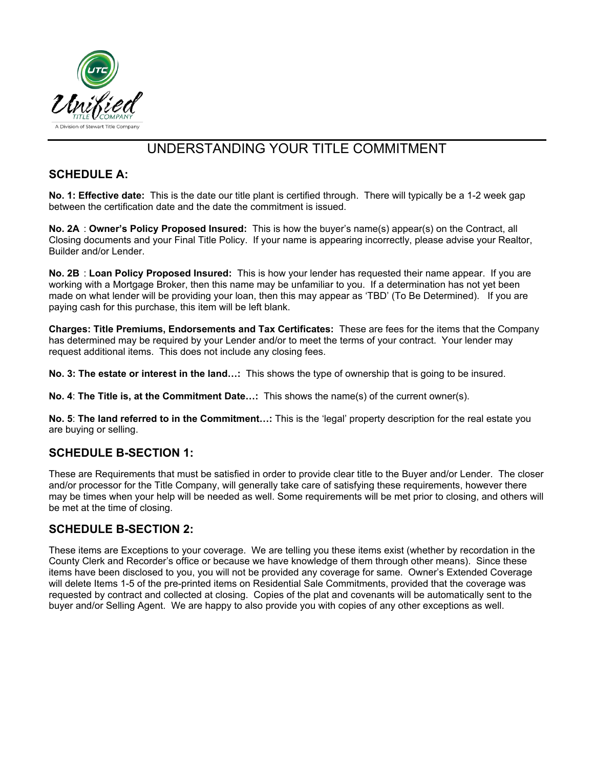

## UNDERSTANDING YOUR TITLE COMMITMENT

## **SCHEDULE A:**

**No. 1: Effective date:** This is the date our title plant is certified through. There will typically be a 1-2 week gap between the certification date and the date the commitment is issued.

**No. 2A** : **Owner's Policy Proposed Insured:** This is how the buyer's name(s) appear(s) on the Contract, all Closing documents and your Final Title Policy. If your name is appearing incorrectly, please advise your Realtor, Builder and/or Lender.

**No. 2B** : **Loan Policy Proposed Insured:** This is how your lender has requested their name appear. If you are working with a Mortgage Broker, then this name may be unfamiliar to you. If a determination has not yet been made on what lender will be providing your loan, then this may appear as 'TBD' (To Be Determined). If you are paying cash for this purchase, this item will be left blank.

**Charges: Title Premiums, Endorsements and Tax Certificates:** These are fees for the items that the Company has determined may be required by your Lender and/or to meet the terms of your contract. Your lender may request additional items. This does not include any closing fees.

**No. 3: The estate or interest in the land…:** This shows the type of ownership that is going to be insured.

**No. 4**: **The Title is, at the Commitment Date…:** This shows the name(s) of the current owner(s).

**No. 5**: **The land referred to in the Commitment…:** This is the 'legal' property description for the real estate you are buying or selling.

## **SCHEDULE B-SECTION 1:**

These are Requirements that must be satisfied in order to provide clear title to the Buyer and/or Lender. The closer and/or processor for the Title Company, will generally take care of satisfying these requirements, however there may be times when your help will be needed as well. Some requirements will be met prior to closing, and others will be met at the time of closing.

## **SCHEDULE B-SECTION 2:**

These items are Exceptions to your coverage. We are telling you these items exist (whether by recordation in the County Clerk and Recorder's office or because we have knowledge of them through other means). Since these items have been disclosed to you, you will not be provided any coverage for same. Owner's Extended Coverage will delete Items 1-5 of the pre-printed items on Residential Sale Commitments, provided that the coverage was requested by contract and collected at closing. Copies of the plat and covenants will be automatically sent to the buyer and/or Selling Agent. We are happy to also provide you with copies of any other exceptions as well.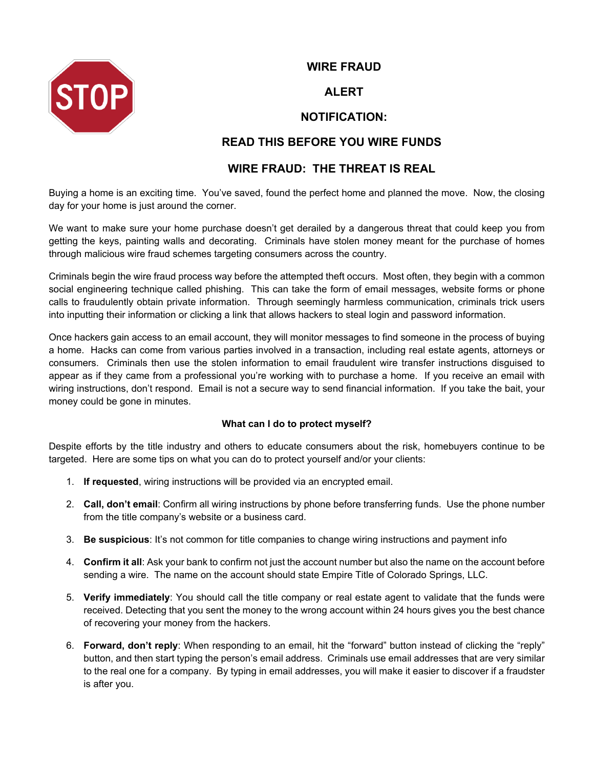

## **WIRE FRAUD**

## **ALERT**

## **NOTIFICATION:**

## **READ THIS BEFORE YOU WIRE FUNDS**

## **WIRE FRAUD: THE THREAT IS REAL**

Buying a home is an exciting time. You've saved, found the perfect home and planned the move. Now, the closing day for your home is just around the corner.

We want to make sure your home purchase doesn't get derailed by a dangerous threat that could keep you from getting the keys, painting walls and decorating. Criminals have stolen money meant for the purchase of homes through malicious wire fraud schemes targeting consumers across the country.

Criminals begin the wire fraud process way before the attempted theft occurs. Most often, they begin with a common social engineering technique called phishing. This can take the form of email messages, website forms or phone calls to fraudulently obtain private information. Through seemingly harmless communication, criminals trick users into inputting their information or clicking a link that allows hackers to steal login and password information.

Once hackers gain access to an email account, they will monitor messages to find someone in the process of buying a home. Hacks can come from various parties involved in a transaction, including real estate agents, attorneys or consumers. Criminals then use the stolen information to email fraudulent wire transfer instructions disguised to appear as if they came from a professional you're working with to purchase a home. If you receive an email with wiring instructions, don't respond. Email is not a secure way to send financial information. If you take the bait, your money could be gone in minutes.

## **What can I do to protect myself?**

Despite efforts by the title industry and others to educate consumers about the risk, homebuyers continue to be targeted. Here are some tips on what you can do to protect yourself and/or your clients:

- 1. **If requested**, wiring instructions will be provided via an encrypted email.
- 2. **Call, don't email**: Confirm all wiring instructions by phone before transferring funds. Use the phone number from the title company's website or a business card.
- 3. **Be suspicious**: It's not common for title companies to change wiring instructions and payment info
- 4. **Confirm it all**: Ask your bank to confirm not just the account number but also the name on the account before sending a wire. The name on the account should state Empire Title of Colorado Springs, LLC.
- 5. **Verify immediately**: You should call the title company or real estate agent to validate that the funds were received. Detecting that you sent the money to the wrong account within 24 hours gives you the best chance of recovering your money from the hackers.
- 6. **Forward, don't reply**: When responding to an email, hit the "forward" button instead of clicking the "reply" button, and then start typing the person's email address. Criminals use email addresses that are very similar to the real one for a company. By typing in email addresses, you will make it easier to discover if a fraudster is after you.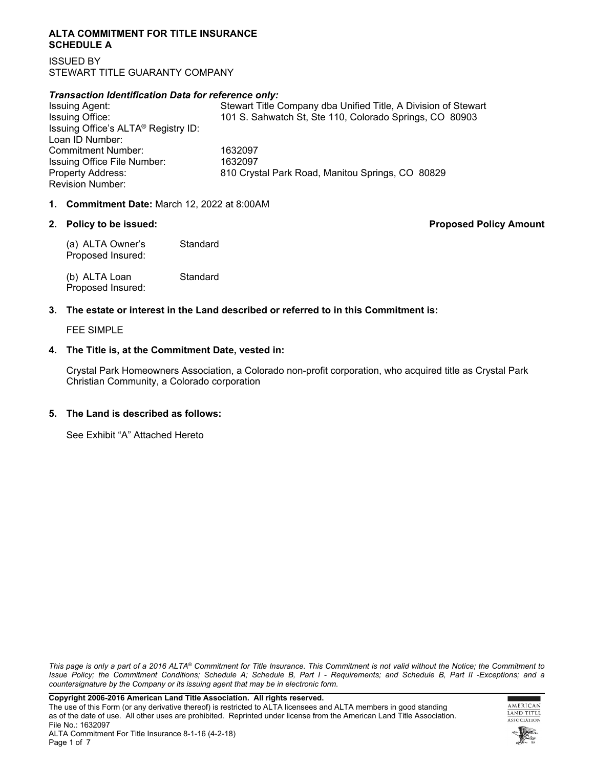#### **ALTA COMMITMENT FOR TITLE INSURANCE SCHEDULE A**

ISSUED BY STEWART TITLE GUARANTY COMPANY

#### *Transaction Identification Data for reference only:*

Issuing Agent: Stewart Title Company dba Unified Title, A Division of Stewart Issuing Office: 101 S. Sahwatch St, Ste 110, Colorado Springs, CO 80903 Issuing Office's ALTA® Registry ID: Loan ID Number: Commitment Number: 1632097 Issuing Office File Number: 1632097 Property Address: 810 Crystal Park Road, Manitou Springs, CO 80829 Revision Number:

#### **1. Commitment Date:** March 12, 2022 at 8:00AM

**2. Policy to be issued: Proposed Policy Amount**

(a) ALTA Owner's Standard Proposed Insured:

(b) ALTA Loan Standard Proposed Insured:

## **3. The estate or interest in the Land described or referred to in this Commitment is:**

FEE SIMPLE

#### **4. The Title is, at the Commitment Date, vested in:**

Crystal Park Homeowners Association, a Colorado non-profit corporation, who acquired title as Crystal Park Christian Community, a Colorado corporation

#### **5. The Land is described as follows:**

See Exhibit "A" Attached Hereto

*This page is only a part of a 2016 ALTA® Commitment for Title Insurance. This Commitment is not valid without the Notice; the Commitment to Issue Policy; the Commitment Conditions; Schedule A; Schedule B, Part I - Requirements; and Schedule B, Part II -Exceptions; and a countersignature by the Company or its issuing agent that may be in electronic form.*



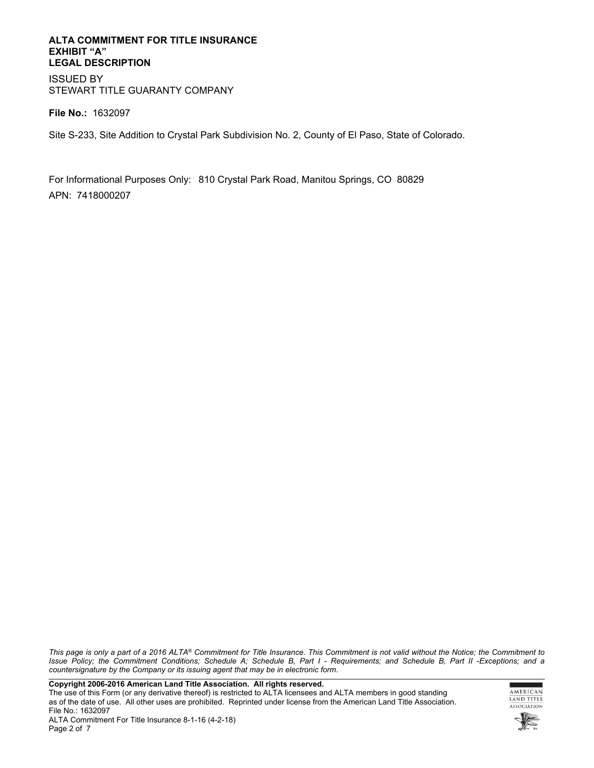#### **ALTA COMMITMENT FOR TITLE INSURANCE EXHIBIT "A" LEGAL DESCRIPTION**

ISSUED BY STEWART TITLE GUARANTY COMPANY

**File No.:** 1632097

Site S-233, Site Addition to Crystal Park Subdivision No. 2, County of El Paso, State of Colorado.

For Informational Purposes Only: 810 Crystal Park Road, Manitou Springs, CO 80829 APN: 7418000207

*This page is only a part of a 2016 ALTA® Commitment for Title Insurance. This Commitment is not valid without the Notice; the Commitment to Issue Policy; the Commitment Conditions; Schedule A; Schedule B, Part I - Requirements; and Schedule B, Part II -Exceptions; and a countersignature by the Company or its issuing agent that may be in electronic form.*

**Copyright 2006-2016 American Land Title Association. All rights reserved.** 

The use of this Form (or any derivative thereof) is restricted to ALTA licensees and ALTA members in good standing as of the date of use. All other uses are prohibited. Reprinted under license from the American Land Title Association. File No.: 1632097

г ٠ AMERICAN LAND TITLE ASSOCIATION

ALTA Commitment For Title Insurance 8-1-16 (4-2-18) Page 2 of 7

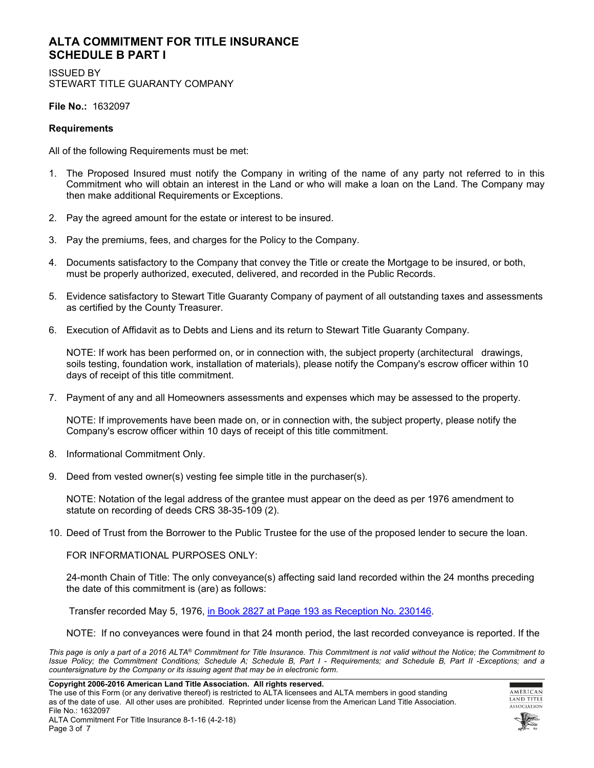## **ALTA COMMITMENT FOR TITLE INSURANCE SCHEDULE B PART I**

ISSUED BY STEWART TITLE GUARANTY COMPANY

**File No.:** 1632097

#### **Requirements**

All of the following Requirements must be met:

- 1. The Proposed Insured must notify the Company in writing of the name of any party not referred to in this Commitment who will obtain an interest in the Land or who will make a loan on the Land. The Company may then make additional Requirements or Exceptions.
- 2. Pay the agreed amount for the estate or interest to be insured.
- 3. Pay the premiums, fees, and charges for the Policy to the Company.
- 4. Documents satisfactory to the Company that convey the Title or create the Mortgage to be insured, or both, must be properly authorized, executed, delivered, and recorded in the Public Records.
- 5. Evidence satisfactory to Stewart Title Guaranty Company of payment of all outstanding taxes and assessments as certified by the County Treasurer.
- 6. Execution of Affidavit as to Debts and Liens and its return to Stewart Title Guaranty Company.

NOTE: If work has been performed on, or in connection with, the subject property (architectural drawings, soils testing, foundation work, installation of materials), please notify the Company's escrow officer within 10 days of receipt of this title commitment.

7. Payment of any and all Homeowners assessments and expenses which may be assessed to the property.

NOTE: If improvements have been made on, or in connection with, the subject property, please notify the Company's escrow officer within 10 days of receipt of this title commitment.

- 8. Informational Commitment Only.
- 9. Deed from vested owner(s) vesting fee simple title in the purchaser(s).

NOTE: Notation of the legal address of the grantee must appear on the deed as per 1976 amendment to statute on recording of deeds CRS 38-35-109 (2).

10. Deed of Trust from the Borrower to the Public Trustee for the use of the proposed lender to secure the loan.

FOR INFORMATIONAL PURPOSES ONLY:

24-month Chain of Title: The only conveyance(s) affecting said land recorded within the 24 months preceding the date of this commitment is (are) as follows:

Transfer recorded May 5, 1976, [in Book 2827 at Page 193 as Reception No. 230146.](https://starters.stewartworkplace.com/SSF/GetDocument?docId=3442425&stateFips=8&areaFips=41&rnd=2110820978&ver=0&recTypeId=627&ext=tiff&dummy=2maw5y0shux0km8tekmyhg87kwlbq&forceFormat=PDF)

NOTE: If no conveyances were found in that 24 month period, the last recorded conveyance is reported. If the

*This page is only a part of a 2016 ALTA® Commitment for Title Insurance. This Commitment is not valid without the Notice; the Commitment to Issue Policy; the Commitment Conditions; Schedule A; Schedule B, Part I - Requirements; and Schedule B, Part II -Exceptions; and a countersignature by the Company or its issuing agent that may be in electronic form.*

**Copyright 2006-2016 American Land Title Association. All rights reserved.** 

The use of this Form (or any derivative thereof) is restricted to ALTA licensees and ALTA members in good standing as of the date of use. All other uses are prohibited. Reprinted under license from the American Land Title Association. File No.: 1632097

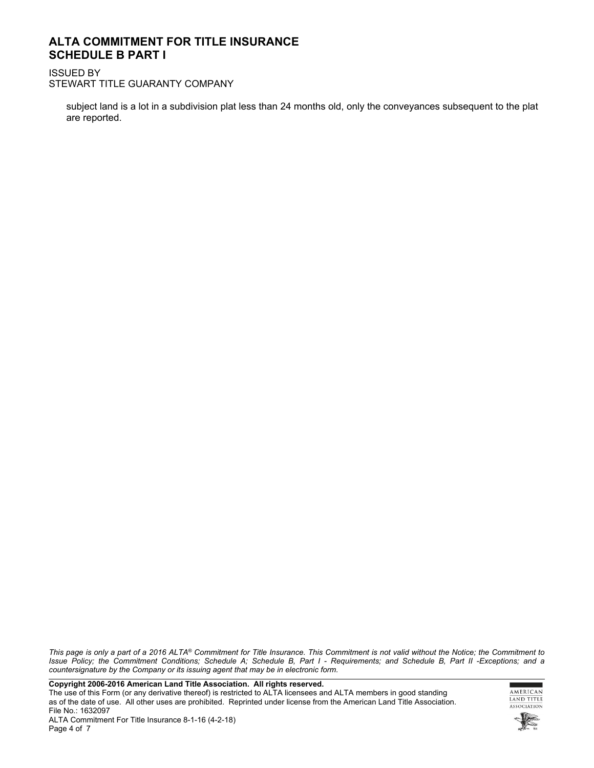## **ALTA COMMITMENT FOR TITLE INSURANCE SCHEDULE B PART I**

ISSUED BY STEWART TITLE GUARANTY COMPANY

subject land is a lot in a subdivision plat less than 24 months old, only the conveyances subsequent to the plat are reported.

*This page is only a part of a 2016 ALTA® Commitment for Title Insurance. This Commitment is not valid without the Notice; the Commitment to Issue Policy; the Commitment Conditions; Schedule A; Schedule B, Part I - Requirements; and Schedule B, Part II -Exceptions; and a countersignature by the Company or its issuing agent that may be in electronic form.*

**Copyright 2006-2016 American Land Title Association. All rights reserved.** 

The use of this Form (or any derivative thereof) is restricted to ALTA licensees and ALTA members in good standing as of the date of use. All other uses are prohibited. Reprinted under license from the American Land Title Association. File No.: 1632097

г ٠ AMERICAN LAND TITLE ASSOCIATION



ALTA Commitment For Title Insurance 8-1-16 (4-2-18) Page 4 of 7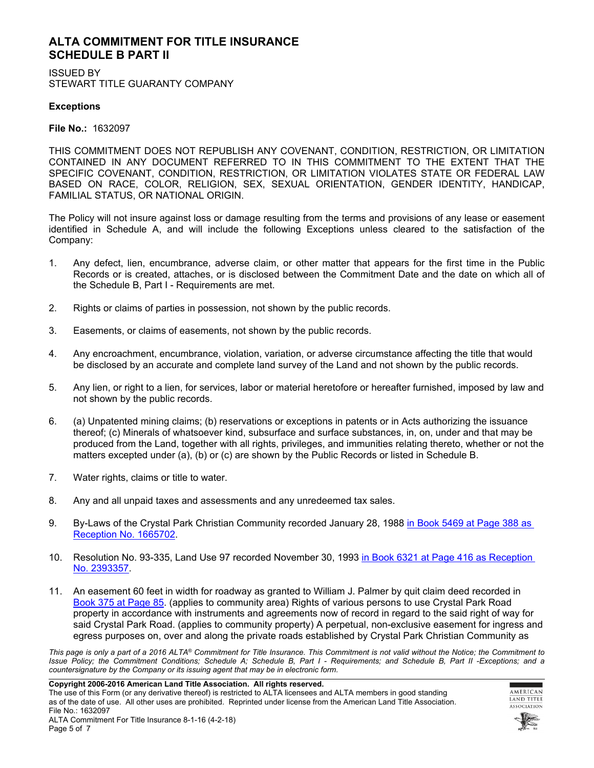## **ALTA COMMITMENT FOR TITLE INSURANCE SCHEDULE B PART II**

ISSUED BY STEWART TITLE GUARANTY COMPANY

## **Exceptions**

**File No.:** 1632097

THIS COMMITMENT DOES NOT REPUBLISH ANY COVENANT, CONDITION, RESTRICTION, OR LIMITATION CONTAINED IN ANY DOCUMENT REFERRED TO IN THIS COMMITMENT TO THE EXTENT THAT THE SPECIFIC COVENANT, CONDITION, RESTRICTION, OR LIMITATION VIOLATES STATE OR FEDERAL LAW BASED ON RACE, COLOR, RELIGION, SEX, SEXUAL ORIENTATION, GENDER IDENTITY, HANDICAP, FAMILIAL STATUS, OR NATIONAL ORIGIN.

The Policy will not insure against loss or damage resulting from the terms and provisions of any lease or easement identified in Schedule A, and will include the following Exceptions unless cleared to the satisfaction of the Company:

- 1. Any defect, lien, encumbrance, adverse claim, or other matter that appears for the first time in the Public Records or is created, attaches, or is disclosed between the Commitment Date and the date on which all of the Schedule B, Part I - Requirements are met.
- 2. Rights or claims of parties in possession, not shown by the public records.
- 3. Easements, or claims of easements, not shown by the public records.
- 4. Any encroachment, encumbrance, violation, variation, or adverse circumstance affecting the title that would be disclosed by an accurate and complete land survey of the Land and not shown by the public records.
- 5. Any lien, or right to a lien, for services, labor or material heretofore or hereafter furnished, imposed by law and not shown by the public records.
- 6. (a) Unpatented mining claims; (b) reservations or exceptions in patents or in Acts authorizing the issuance thereof; (c) Minerals of whatsoever kind, subsurface and surface substances, in, on, under and that may be produced from the Land, together with all rights, privileges, and immunities relating thereto, whether or not the matters excepted under (a), (b) or (c) are shown by the Public Records or listed in Schedule B.
- 7. Water rights, claims or title to water.
- 8. Any and all unpaid taxes and assessments and any unredeemed tax sales.
- 9. By-Laws of the Crystal Park Christian Community recorded January 28, 1988 in Book 5469 at Page 388 as [Reception No. 1665702.](https://starters.stewartworkplace.com/SSF/GetDocument?docId=3234224&stateFips=8&areaFips=41&rnd=627821688&ver=0&recTypeId=627&ext=tiff&forceFormat=PDF)
- 10. Resolution No. 93-335, Land Use 97 recorded November 30, 1993 [in Book 6321 at Page 416 as Reception](http://starters.stewartworkplace.com/SSF/GetDocument?docId=314639&stateFips=8&areaFips=41&rnd=1490954814&ver=0&recTypeId=627&ext=tiff&forceFormat=PDF)  [No. 2393357.](http://starters.stewartworkplace.com/SSF/GetDocument?docId=314639&stateFips=8&areaFips=41&rnd=1490954814&ver=0&recTypeId=627&ext=tiff&forceFormat=PDF)
- 11. An easement 60 feet in width for roadway as granted to William J. Palmer by quit claim deed recorded in [Book 375 at Page 85](https://starters.stewartworkplace.com/SSF/GetDocument?docId=314636&stateFips=8&areaFips=41&rnd=367065036&ver=0&recTypeId=627&ext=tiff&dummy=8ue7z5hf611ri5kmzb0xxmmzhz6g&forceFormat=PDF). (applies to community area) Rights of various persons to use Crystal Park Road property in accordance with instruments and agreements now of record in regard to the said right of way for said Crystal Park Road. (applies to community property) A perpetual, non-exclusive easement for ingress and egress purposes on, over and along the private roads established by Crystal Park Christian Community as

*This page is only a part of a 2016 ALTA® Commitment for Title Insurance. This Commitment is not valid without the Notice; the Commitment to Issue Policy; the Commitment Conditions; Schedule A; Schedule B, Part I - Requirements; and Schedule B, Part II -Exceptions; and a countersignature by the Company or its issuing agent that may be in electronic form.*

**Copyright 2006-2016 American Land Title Association. All rights reserved.** 

The use of this Form (or any derivative thereof) is restricted to ALTA licensees and ALTA members in good standing as of the date of use. All other uses are prohibited. Reprinted under license from the American Land Title Association. File No.: 1632097



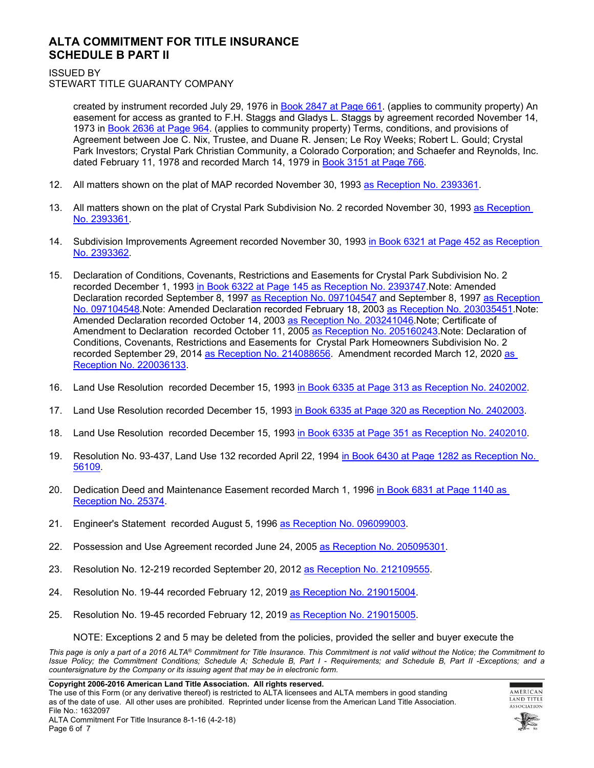## **ALTA COMMITMENT FOR TITLE INSURANCE SCHEDULE B PART II**

ISSUED BY

STEWART TITLE GUARANTY COMPANY

created by instrument recorded July 29, 1976 in [Book 2847 at Page 661](https://starters.stewartworkplace.com/SSF/GetDocument?docId=314637&stateFips=8&areaFips=41&rnd=742533522&ver=0&recTypeId=627&ext=tiff&dummy=8uf7ey8vbs9n1eaqi4z5fwp0suja&forceFormat=PDF). (applies to community property) An easement for access as granted to F.H. Staggs and Gladys L. Staggs by agreement recorded November 14, 1973 in [Book 2636 at Page 964.](https://starters.stewartworkplace.com/SSF/GetDocument?docId=1403097&stateFips=8&areaFips=41&rnd=1238851923&ver=0&recTypeId=627&ext=tiff&dummy=oki9hzhvh3gzdk1canlem2x69572w&forceFormat=PDF) (applies to community property) Terms, conditions, and provisions of Agreement between Joe C. Nix, Trustee, and Duane R. Jensen; Le Roy Weeks; Robert L. Gould; Crystal Park Investors; Crystal Park Christian Community, a Colorado Corporation; and Schaefer and Reynolds, Inc. dated February 11, 1978 and recorded March 14, 1979 in [Book 3151 at Page 766.](https://starters.stewartworkplace.com/SSF/GetDocument?docId=1403100&stateFips=8&areaFips=41&rnd=600850050&ver=0&recTypeId=627&ext=tiff&dummy=okiarjlcfyxfl2wun0k29n0q01kmb&forceFormat=PDF)

- 12. All matters shown on the plat of MAP recorded November 30, 1993 [as Reception No. 2393361.](https://starters.stewartworkplace.com/SSF/GetDocument?docId=1309157&stateFips=8&areaFips=41&rnd=1683507121&ver=0&recTypeId=627&ext=tiff&dummy=2n4oiodt8f1k8hn7s8xqlxgyocyjo&forceFormat=PDF)
- 13. All matters shown on the plat of Crystal Park Subdivision No. 2 recorded November 30, 1993 [as Reception](https://starters.stewartworkplace.com/SSF/GetDocument?docId=1309157&stateFips=8&areaFips=41&rnd=1683507121&ver=0&recTypeId=627&ext=tiff&dummy=4ij7qgjawiccgenbv2ohu38a25f7&forceFormat=PDF)  [No. 2393361.](https://starters.stewartworkplace.com/SSF/GetDocument?docId=1309157&stateFips=8&areaFips=41&rnd=1683507121&ver=0&recTypeId=627&ext=tiff&dummy=4ij7qgjawiccgenbv2ohu38a25f7&forceFormat=PDF)
- 14. Subdivision Improvements Agreement recorded November 30, 1993 [in Book 6321 at Page 452 as Reception](http://starters.stewartworkplace.com/SSF/GetDocument?docId=314642&stateFips=8&areaFips=41&rnd=522017107&ver=0&recTypeId=627&ext=tiff&forceFormat=PDF)  [No. 2393362.](http://starters.stewartworkplace.com/SSF/GetDocument?docId=314642&stateFips=8&areaFips=41&rnd=522017107&ver=0&recTypeId=627&ext=tiff&forceFormat=PDF)
- 15. Declaration of Conditions, Covenants, Restrictions and Easements for Crystal Park Subdivision No. 2 recorded December 1, 1993 [in Book 6322 at Page 145 as Reception No. 2393747](http://starters.stewartworkplace.com/SSF/GetDocument?docId=405575&stateFips=8&areaFips=41&rnd=860842385&ver=0&recTypeId=627&ext=tiff&forceFormat=PDF).Note: Amended Declaration recorded September 8, 1997 [as Reception No. 097104547](http://starters.stewartworkplace.com/SSF/GetDocument?docId=405576&stateFips=8&areaFips=41&rnd=771471051&ver=0&recTypeId=627&ext=tiff&forceFormat=PDF) and September 8, 1997 as Reception [No. 097104548.](https://starters.stewartworkplace.com/SSF/GetDocument?docId=405577&stateFips=8&areaFips=41&rnd=1300610304&ver=0&recTypeId=627&ext=tiff&forceFormat=PDF)Note: Amended Declaration recorded February 18, 2003 [as Reception No. 203035451.](http://starters.stewartworkplace.com/SSF/GetDocument?docId=591242&stateFips=8&areaFips=41&rnd=1445617268&ver=0&recTypeId=627&ext=tiff&forceFormat=PDF)Note: Amended Declaration recorded October 14, 2003 [as Reception No. 203241046](http://starters.stewartworkplace.com/SSF/GetDocument?docId=405580&stateFips=8&areaFips=41&rnd=1904689821&ver=0&recTypeId=627&ext=tiff&forceFormat=PDF).Note; Certificate of Amendment to Declaration recorded October 11, 2005 [as Reception No. 205160243](http://starters.stewartworkplace.com/SSF/GetDocument?docId=314654&stateFips=8&areaFips=41&rnd=898627488&ver=0&recTypeId=627&ext=tiff&forceFormat=PDF). Note: Declaration of Conditions, Covenants, Restrictions and Easements for Crystal Park Homeowners Subdivision No. 2 recorded September 29, 2014 [as Reception No. 214088656.](http://starters.stewartworkplace.com/SSF/GetDocument?docId=591240&stateFips=8&areaFips=41&rnd=34139640&ver=0&recTypeId=627&ext=tiff&forceFormat=PDF) Amendment recorded March 12, 2020 as [Reception No. 220036133.](https://starters.stewartworkplace.com/SSF/GetDocument?docId=3190496&stateFips=8&areaFips=41&rnd=542332184&ver=0&recTypeId=627&ext=tiff&dummy=ow7pi85d0tkrzv6kdkb2aolmc0b5&forceFormat=PDF)
- 16. Land Use Resolution recorded December 15, 1993 [in Book 6335 at Page 313 as Reception No. 2402002](https://starters.stewartworkplace.com/SSF/GetDocument?docId=314643&stateFips=8&areaFips=41&rnd=2077112144&ver=0&recTypeId=627&ext=tiff&forceFormat=PDF).
- 17. Land Use Resolution recorded December 15, 1993 [in Book 6335 at Page 320 as Reception No. 2402003](https://starters.stewartworkplace.com/SSF/GetDocument?docId=314644&stateFips=8&areaFips=41&rnd=710660146&ver=0&recTypeId=627&ext=tiff&forceFormat=PDF).
- 18. Land Use Resolution recorded December 15, 1993 [in Book 6335 at Page 351 as Reception No. 2402010](https://starters.stewartworkplace.com/SSF/GetDocument?docId=314645&stateFips=8&areaFips=41&rnd=701642155&ver=0&recTypeId=627&ext=tiff&forceFormat=PDF).
- 19. Resolution No. 93-437, Land Use 132 recorded April 22, 1994 [in Book 6430 at Page 1282 as Reception No.](http://starters.stewartworkplace.com/SSF/GetDocument?docId=314646&stateFips=8&areaFips=41&rnd=1879390679&ver=0&recTypeId=627&ext=tiff&forceFormat=PDF)  [56109](http://starters.stewartworkplace.com/SSF/GetDocument?docId=314646&stateFips=8&areaFips=41&rnd=1879390679&ver=0&recTypeId=627&ext=tiff&forceFormat=PDF).
- 20. Dedication Deed and Maintenance Easement recorded March 1, 1996 [in Book 6831 at Page 1140 as](http://starters.stewartworkplace.com/SSF/GetDocument?docId=591243&stateFips=8&areaFips=41&rnd=1622143309&ver=0&recTypeId=627&ext=tiff&forceFormat=PDF)  [Reception No. 25374.](http://starters.stewartworkplace.com/SSF/GetDocument?docId=591243&stateFips=8&areaFips=41&rnd=1622143309&ver=0&recTypeId=627&ext=tiff&forceFormat=PDF)
- 21. Engineer's Statement recorded August 5, 1996 [as Reception No. 096099003](https://starters.stewartworkplace.com/SSF/GetDocument?docId=314648&stateFips=8&areaFips=41&rnd=853649726&ver=0&recTypeId=627&ext=tiff&forceFormat=PDF).
- 22. Possession and Use Agreement recorded June 24, 2005 [as Reception No. 205095301](http://starters.stewartworkplace.com/SSF/GetDocument?docId=591241&stateFips=8&areaFips=41&rnd=1773386494&ver=0&recTypeId=627&ext=tiff&forceFormat=PDF).
- 23. Resolution No. 12-219 recorded September 20, 2012 [as Reception No. 212109555](http://starters.stewartworkplace.com/SSF/GetDocument?docId=531353&stateFips=8&areaFips=41&rnd=1829105400&ver=0&recTypeId=627&ext=tiff&forceFormat=PDF).
- 24. Resolution No. 19-44 recorded February 12, 2019 [as Reception No. 219015004.](https://starters.stewartworkplace.com/SSF/GetDocument?docId=3190544&stateFips=8&areaFips=41&rnd=93755948&ver=0&recTypeId=627&ext=tiff&dummy=6wy5349nalizbibepp10zjmapkczx&forceFormat=PDF)
- 25. Resolution No. 19-45 recorded February 12, 2019 [as Reception No. 219015005.](https://starters.stewartworkplace.com/SSF/GetDocument?docId=3190558&stateFips=8&areaFips=41&rnd=1973007780&ver=0&recTypeId=627&ext=tiff&dummy=1x5hev3x826bl6ieto0kh65k49e8j7&forceFormat=PDF)

NOTE: Exceptions 2 and 5 may be deleted from the policies, provided the seller and buyer execute the

*This page is only a part of a 2016 ALTA® Commitment for Title Insurance. This Commitment is not valid without the Notice; the Commitment to Issue Policy; the Commitment Conditions; Schedule A; Schedule B, Part I - Requirements; and Schedule B, Part II -Exceptions; and a countersignature by the Company or its issuing agent that may be in electronic form.*

**Copyright 2006-2016 American Land Title Association. All rights reserved.** 

The use of this Form (or any derivative thereof) is restricted to ALTA licensees and ALTA members in good standing as of the date of use. All other uses are prohibited. Reprinted under license from the American Land Title Association. File No.: 1632097



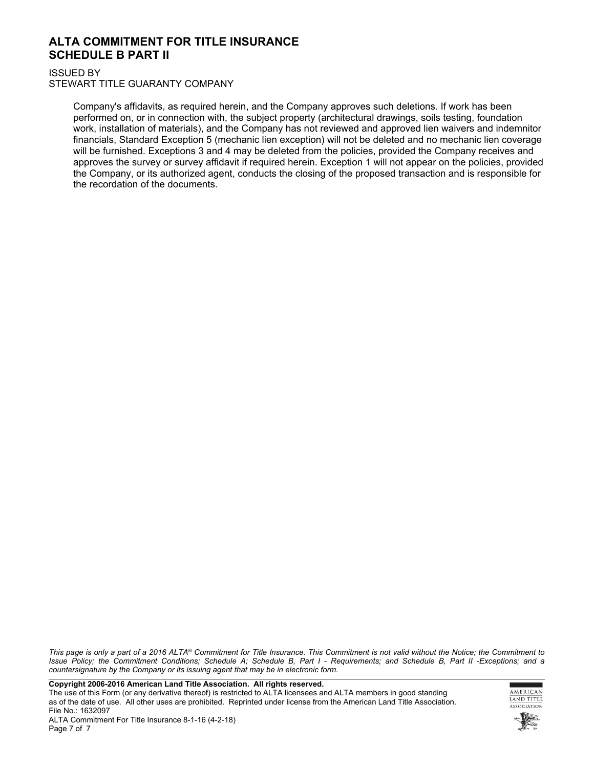## **ALTA COMMITMENT FOR TITLE INSURANCE SCHEDULE B PART II**

ISSUED BY

STEWART TITLE GUARANTY COMPANY

Company's affidavits, as required herein, and the Company approves such deletions. If work has been performed on, or in connection with, the subject property (architectural drawings, soils testing, foundation work, installation of materials), and the Company has not reviewed and approved lien waivers and indemnitor financials, Standard Exception 5 (mechanic lien exception) will not be deleted and no mechanic lien coverage will be furnished. Exceptions 3 and 4 may be deleted from the policies, provided the Company receives and approves the survey or survey affidavit if required herein. Exception 1 will not appear on the policies, provided the Company, or its authorized agent, conducts the closing of the proposed transaction and is responsible for the recordation of the documents.

*This page is only a part of a 2016 ALTA® Commitment for Title Insurance. This Commitment is not valid without the Notice; the Commitment to Issue Policy; the Commitment Conditions; Schedule A; Schedule B, Part I - Requirements; and Schedule B, Part II -Exceptions; and a countersignature by the Company or its issuing agent that may be in electronic form.*

**Copyright 2006-2016 American Land Title Association. All rights reserved.** 

The use of this Form (or any derivative thereof) is restricted to ALTA licensees and ALTA members in good standing as of the date of use. All other uses are prohibited. Reprinted under license from the American Land Title Association. File No.: 1632097

AMERICAN **LAND TITLE** ASSOCIATION

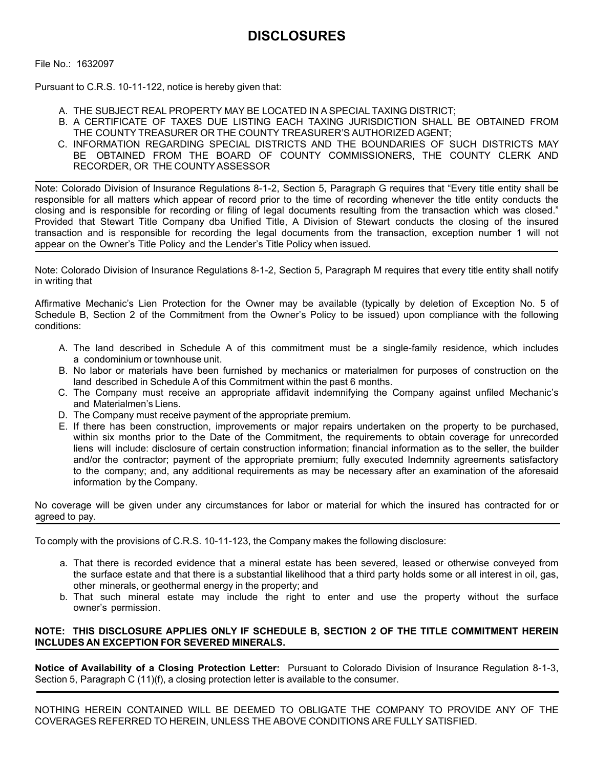File No.: 1632097

Pursuant to C.R.S. 10-11-122, notice is hereby given that:

- A. THE SUBJECT REAL PROPERTY MAY BE LOCATED IN A SPECIAL TAXING DISTRICT;
- B. A CERTIFICATE OF TAXES DUE LISTING EACH TAXING JURISDICTION SHALL BE OBTAINED FROM THE COUNTY TREASURER OR THE COUNTY TREASURER'S AUTHORIZED AGENT;
- C. INFORMATION REGARDING SPECIAL DISTRICTS AND THE BOUNDARIES OF SUCH DISTRICTS MAY BE OBTAINED FROM THE BOARD OF COUNTY COMMISSIONERS, THE COUNTY CLERK AND RECORDER, OR THE COUNTY ASSESSOR

Note: Colorado Division of Insurance Regulations 8-1-2, Section 5, Paragraph G requires that "Every title entity shall be responsible for all matters which appear of record prior to the time of recording whenever the title entity conducts the closing and is responsible for recording or filing of legal documents resulting from the transaction which was closed." Provided that Stewart Title Company dba Unified Title, A Division of Stewart conducts the closing of the insured transaction and is responsible for recording the legal documents from the transaction, exception number 1 will not appear on the Owner's Title Policy and the Lender's Title Policy when issued.

Note: Colorado Division of Insurance Regulations 8-1-2, Section 5, Paragraph M requires that every title entity shall notify in writing that

Affirmative Mechanic's Lien Protection for the Owner may be available (typically by deletion of Exception No. 5 of Schedule B, Section 2 of the Commitment from the Owner's Policy to be issued) upon compliance with the following conditions:

- A. The land described in Schedule A of this commitment must be a single-family residence, which includes a condominium or townhouse unit.
- B. No labor or materials have been furnished by mechanics or materialmen for purposes of construction on the land described in Schedule A of this Commitment within the past 6 months.
- C. The Company must receive an appropriate affidavit indemnifying the Company against unfiled Mechanic's and Materialmen's Liens.
- D. The Company must receive payment of the appropriate premium.
- E. If there has been construction, improvements or major repairs undertaken on the property to be purchased, within six months prior to the Date of the Commitment, the requirements to obtain coverage for unrecorded liens will include: disclosure of certain construction information; financial information as to the seller, the builder and/or the contractor; payment of the appropriate premium; fully executed Indemnity agreements satisfactory to the company; and, any additional requirements as may be necessary after an examination of the aforesaid information by the Company.

No coverage will be given under any circumstances for labor or material for which the insured has contracted for or agreed to pay.

To comply with the provisions of C.R.S. 10-11-123, the Company makes the following disclosure:

- a. That there is recorded evidence that a mineral estate has been severed, leased or otherwise conveyed from the surface estate and that there is a substantial likelihood that a third party holds some or all interest in oil, gas, other minerals, or geothermal energy in the property; and
- b. That such mineral estate may include the right to enter and use the property without the surface owner's permission.

## **NOTE: THIS DISCLOSURE APPLIES ONLY IF SCHEDULE B, SECTION 2 OF THE TITLE COMMITMENT HEREIN INCLUDES AN EXCEPTION FOR SEVERED MINERALS.**

**Notice of Availability of a Closing Protection Letter:** Pursuant to Colorado Division of Insurance Regulation 8-1-3, Section 5, Paragraph C (11)(f), a closing protection letter is available to the consumer.

NOTHING HEREIN CONTAINED WILL BE DEEMED TO OBLIGATE THE COMPANY TO PROVIDE ANY OF THE COVERAGES REFERRED TO HEREIN, UNLESS THE ABOVE CONDITIONS ARE FULLY SATISFIED.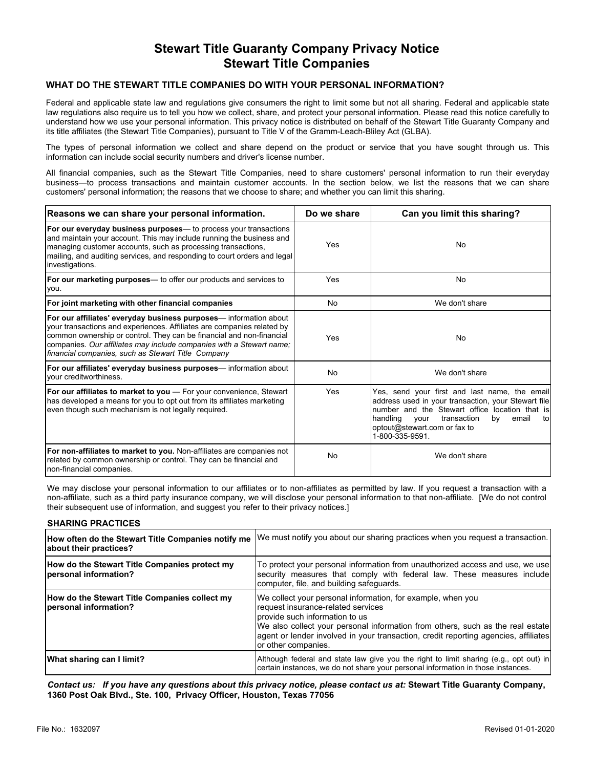## **Stewart Title Guaranty Company Privacy Notice Stewart Title Companies**

#### **WHAT DO THE STEWART TITLE COMPANIES DO WITH YOUR PERSONAL INFORMATION?**

Federal and applicable state law and regulations give consumers the right to limit some but not all sharing. Federal and applicable state law regulations also require us to tell you how we collect, share, and protect your personal information. Please read this notice carefully to understand how we use your personal information. This privacy notice is distributed on behalf of the Stewart Title Guaranty Company and its title affiliates (the Stewart Title Companies), pursuant to Title V of the Gramm-Leach-Bliley Act (GLBA).

The types of personal information we collect and share depend on the product or service that you have sought through us. This information can include social security numbers and driver's license number.

All financial companies, such as the Stewart Title Companies, need to share customers' personal information to run their everyday business—to process transactions and maintain customer accounts. In the section below, we list the reasons that we can share customers' personal information; the reasons that we choose to share; and whether you can limit this sharing.

| Reasons we can share your personal information.                                                                                                                                                                                                                                                                                                   | Do we share | Can you limit this sharing?                                                                                                                                                                                                                                        |
|---------------------------------------------------------------------------------------------------------------------------------------------------------------------------------------------------------------------------------------------------------------------------------------------------------------------------------------------------|-------------|--------------------------------------------------------------------------------------------------------------------------------------------------------------------------------------------------------------------------------------------------------------------|
| <b>For our everyday business purposes</b> — to process your transactions<br>and maintain your account. This may include running the business and<br>managing customer accounts, such as processing transactions,<br>mailing, and auditing services, and responding to court orders and legal<br>investigations.                                   | Yes         | No                                                                                                                                                                                                                                                                 |
| <b>For our marketing purposes</b> — to offer our products and services to<br>you.                                                                                                                                                                                                                                                                 | Yes         | No                                                                                                                                                                                                                                                                 |
| For joint marketing with other financial companies                                                                                                                                                                                                                                                                                                | No          | We don't share                                                                                                                                                                                                                                                     |
| For our affiliates' everyday business purposes— information about<br>your transactions and experiences. Affiliates are companies related by<br>common ownership or control. They can be financial and non-financial<br>companies. Our affiliates may include companies with a Stewart name;<br>financial companies, such as Stewart Title Company | Yes         | No                                                                                                                                                                                                                                                                 |
| <b>For our affiliates' everyday business purposes</b> — information about<br>Ivour creditworthiness.                                                                                                                                                                                                                                              | No          | We don't share                                                                                                                                                                                                                                                     |
| <b>For our affiliates to market to you</b> — For your convenience, Stewart<br>has developed a means for you to opt out from its affiliates marketing<br>even though such mechanism is not legally required.                                                                                                                                       | Yes         | Yes, send your first and last name, the email<br>address used in your transaction, your Stewart file<br>number and the Stewart office location that is<br>handling<br>email<br>transaction<br>by<br>vour<br>tol<br>optout@stewart.com or fax to<br>1-800-335-9591. |
| <b>For non-affiliates to market to you.</b> Non-affiliates are companies not<br>related by common ownership or control. They can be financial and<br>non-financial companies.                                                                                                                                                                     | No          | We don't share                                                                                                                                                                                                                                                     |

We may disclose your personal information to our affiliates or to non-affiliates as permitted by law. If you request a transaction with a non-affiliate, such as a third party insurance company, we will disclose your personal information to that non-affiliate. [We do not control their subsequent use of information, and suggest you refer to their privacy notices.]

#### **SHARING PRACTICES**

| How often do the Stewart Title Companies notify me<br>about their practices? | We must notify you about our sharing practices when you request a transaction.                                                                                                                                                                                                                                                        |
|------------------------------------------------------------------------------|---------------------------------------------------------------------------------------------------------------------------------------------------------------------------------------------------------------------------------------------------------------------------------------------------------------------------------------|
| How do the Stewart Title Companies protect my<br> personal information?      | To protect your personal information from unauthorized access and use, we use<br>security measures that comply with federal law. These measures include<br>computer, file, and building safeguards.                                                                                                                                   |
| How do the Stewart Title Companies collect my<br>personal information?       | We collect your personal information, for example, when you<br>request insurance-related services<br>provide such information to us<br>We also collect your personal information from others, such as the real estate<br> agent or lender involved in your transaction, credit reporting agencies, affiliates <br>or other companies. |
| What sharing can I limit?                                                    | Although federal and state law give you the right to limit sharing (e.g., opt out) in<br>certain instances, we do not share your personal information in those instances.                                                                                                                                                             |

*Contact us: If you have any questions about this privacy notice, please contact us at:* **Stewart Title Guaranty Company, 1360 Post Oak Blvd., Ste. 100, Privacy Officer, Houston, Texas 77056**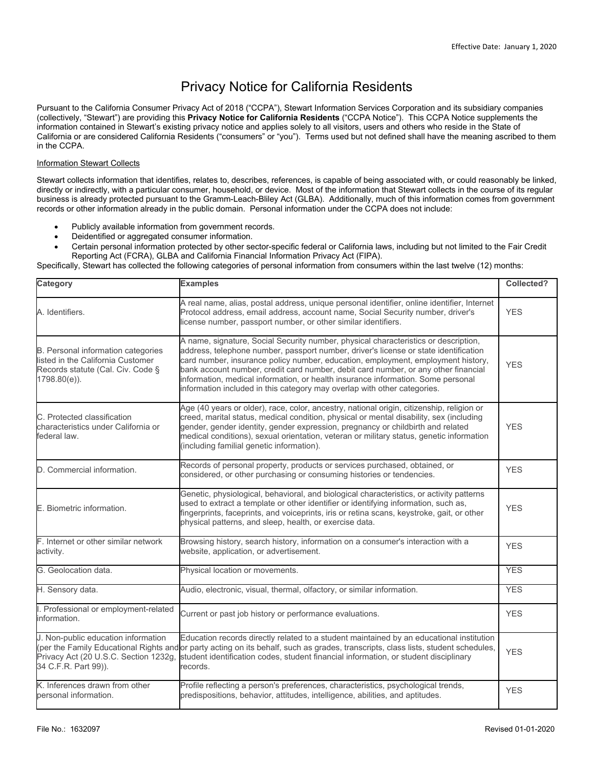## Privacy Notice for California Residents

Pursuant to the California Consumer Privacy Act of 2018 ("CCPA"), Stewart Information Services Corporation and its subsidiary companies (collectively, "Stewart") are providing this **Privacy Notice for California Residents** ("CCPA Notice"). This CCPA Notice supplements the information contained in Stewart's existing privacy notice and applies solely to all visitors, users and others who reside in the State of California or are considered California Residents ("consumers" or "you"). Terms used but not defined shall have the meaning ascribed to them in the CCPA.

#### Information Stewart Collects

Stewart collects information that identifies, relates to, describes, references, is capable of being associated with, or could reasonably be linked, directly or indirectly, with a particular consumer, household, or device. Most of the information that Stewart collects in the course of its regular business is already protected pursuant to the Gramm-Leach-Bliley Act (GLBA). Additionally, much of this information comes from government records or other information already in the public domain. Personal information under the CCPA does not include:

- Publicly available information from government records.
- Deidentified or aggregated consumer information.
- Certain personal information protected by other sector-specific federal or California laws, including but not limited to the Fair Credit Reporting Act (FCRA), GLBA and California Financial Information Privacy Act (FIPA).

Specifically, Stewart has collected the following categories of personal information from consumers within the last twelve (12) months:

| Category                                                                                                                               | <b>Examples</b>                                                                                                                                                                                                                                                                                                                                                                                                                                                                                                       | Collected? |
|----------------------------------------------------------------------------------------------------------------------------------------|-----------------------------------------------------------------------------------------------------------------------------------------------------------------------------------------------------------------------------------------------------------------------------------------------------------------------------------------------------------------------------------------------------------------------------------------------------------------------------------------------------------------------|------------|
| A. Identifiers.                                                                                                                        | A real name, alias, postal address, unique personal identifier, online identifier, Internet<br>Protocol address, email address, account name, Social Security number, driver's<br>license number, passport number, or other similar identifiers.                                                                                                                                                                                                                                                                      | <b>YES</b> |
| <b>B.</b> Personal information categories<br>listed in the California Customer<br>Records statute (Cal. Civ. Code §<br>$1798.80(e)$ ). | A name, signature, Social Security number, physical characteristics or description,<br>address, telephone number, passport number, driver's license or state identification<br>card number, insurance policy number, education, employment, employment history,<br>bank account number, credit card number, debit card number, or any other financial<br>information, medical information, or health insurance information. Some personal<br>information included in this category may overlap with other categories. | <b>YES</b> |
| C. Protected classification<br>characteristics under California or<br>federal law.                                                     | Age (40 years or older), race, color, ancestry, national origin, citizenship, religion or<br>creed, marital status, medical condition, physical or mental disability, sex (including<br>gender, gender identity, gender expression, pregnancy or childbirth and related<br>medical conditions), sexual orientation, veteran or military status, genetic information<br>(including familial genetic information).                                                                                                      | <b>YES</b> |
| D. Commercial information.                                                                                                             | Records of personal property, products or services purchased, obtained, or<br>considered, or other purchasing or consuming histories or tendencies.                                                                                                                                                                                                                                                                                                                                                                   | <b>YES</b> |
| E. Biometric information.                                                                                                              | Genetic, physiological, behavioral, and biological characteristics, or activity patterns<br>used to extract a template or other identifier or identifying information, such as,<br>fingerprints, faceprints, and voiceprints, iris or retina scans, keystroke, gait, or other<br>physical patterns, and sleep, health, or exercise data.                                                                                                                                                                              | <b>YES</b> |
| F. Internet or other similar network<br>activity.                                                                                      | Browsing history, search history, information on a consumer's interaction with a<br>website, application, or advertisement.                                                                                                                                                                                                                                                                                                                                                                                           | <b>YES</b> |
| G. Geolocation data.                                                                                                                   | Physical location or movements.                                                                                                                                                                                                                                                                                                                                                                                                                                                                                       | <b>YES</b> |
| H. Sensory data.                                                                                                                       | Audio, electronic, visual, thermal, olfactory, or similar information.                                                                                                                                                                                                                                                                                                                                                                                                                                                | <b>YES</b> |
| I. Professional or employment-related<br>information.                                                                                  | Current or past job history or performance evaluations.                                                                                                                                                                                                                                                                                                                                                                                                                                                               | <b>YES</b> |
| J. Non-public education information<br>Privacy Act (20 U.S.C. Section 1232g,<br>34 C.F.R. Part 99)).                                   | Education records directly related to a student maintained by an educational institution<br>(per the Family Educational Rights and or party acting on its behalf, such as grades, transcripts, class lists, student schedules,<br>student identification codes, student financial information, or student disciplinary<br>records.                                                                                                                                                                                    | <b>YES</b> |
| K. Inferences drawn from other<br>personal information.                                                                                | Profile reflecting a person's preferences, characteristics, psychological trends,<br>predispositions, behavior, attitudes, intelligence, abilities, and aptitudes.                                                                                                                                                                                                                                                                                                                                                    | <b>YES</b> |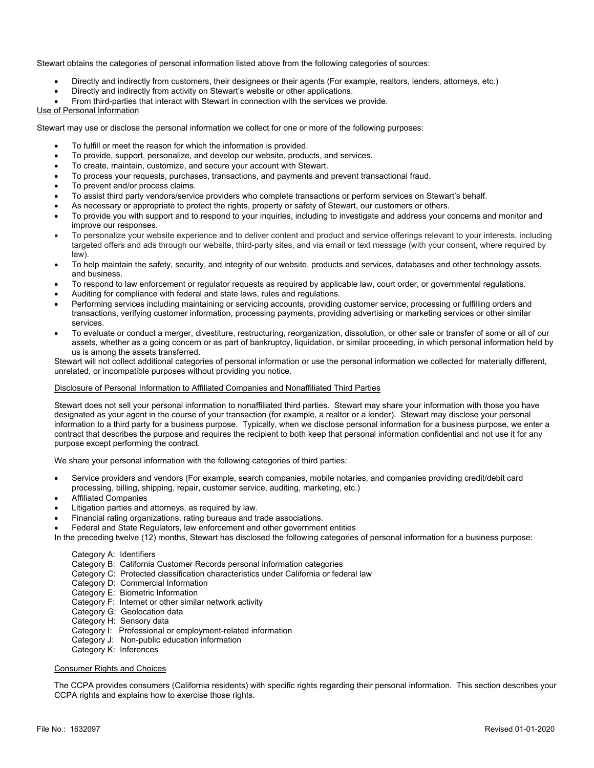Stewart obtains the categories of personal information listed above from the following categories of sources:

- Directly and indirectly from customers, their designees or their agents (For example, realtors, lenders, attorneys, etc.)
- Directly and indirectly from activity on Stewart's website or other applications.
- From third-parties that interact with Stewart in connection with the services we provide.

#### Use of Personal Information

Stewart may use or disclose the personal information we collect for one or more of the following purposes:

- To fulfill or meet the reason for which the information is provided.
- To provide, support, personalize, and develop our website, products, and services.
- To create, maintain, customize, and secure your account with Stewart.
- To process your requests, purchases, transactions, and payments and prevent transactional fraud.
- To prevent and/or process claims.
- To assist third party vendors/service providers who complete transactions or perform services on Stewart's behalf.
- As necessary or appropriate to protect the rights, property or safety of Stewart, our customers or others.
- To provide you with support and to respond to your inquiries, including to investigate and address your concerns and monitor and improve our responses.
- To personalize your website experience and to deliver content and product and service offerings relevant to your interests, including targeted offers and ads through our website, third-party sites, and via email or text message (with your consent, where required by law).
- To help maintain the safety, security, and integrity of our website, products and services, databases and other technology assets, and business.
- To respond to law enforcement or regulator requests as required by applicable law, court order, or governmental regulations.
- Auditing for compliance with federal and state laws, rules and regulations.
- Performing services including maintaining or servicing accounts, providing customer service, processing or fulfilling orders and transactions, verifying customer information, processing payments, providing advertising or marketing services or other similar services.
- To evaluate or conduct a merger, divestiture, restructuring, reorganization, dissolution, or other sale or transfer of some or all of our assets, whether as a going concern or as part of bankruptcy, liquidation, or similar proceeding, in which personal information held by us is among the assets transferred.

Stewart will not collect additional categories of personal information or use the personal information we collected for materially different, unrelated, or incompatible purposes without providing you notice.

#### Disclosure of Personal Information to Affiliated Companies and Nonaffiliated Third Parties

Stewart does not sell your personal information to nonaffiliated third parties. Stewart may share your information with those you have designated as your agent in the course of your transaction (for example, a realtor or a lender). Stewart may disclose your personal information to a third party for a business purpose. Typically, when we disclose personal information for a business purpose, we enter a contract that describes the purpose and requires the recipient to both keep that personal information confidential and not use it for any purpose except performing the contract.

We share your personal information with the following categories of third parties:

- Service providers and vendors (For example, search companies, mobile notaries, and companies providing credit/debit card processing, billing, shipping, repair, customer service, auditing, marketing, etc.)
- Affiliated Companies
- Litigation parties and attorneys, as required by law.
- Financial rating organizations, rating bureaus and trade associations.
- Federal and State Regulators, law enforcement and other government entities
- In the preceding twelve (12) months, Stewart has disclosed the following categories of personal information for a business purpose:

#### Category A: Identifiers

- Category B: California Customer Records personal information categories
- Category C: Protected classification characteristics under California or federal law
- Category D: Commercial Information
- Category E: Biometric Information
- Category F: Internet or other similar network activity
- Category G: Geolocation data
- Category H: Sensory data
- Category I: Professional or employment-related information
- Category J: Non-public education information
- Category K: Inferences

#### Consumer Rights and Choices

The CCPA provides consumers (California residents) with specific rights regarding their personal information. This section describes your CCPA rights and explains how to exercise those rights.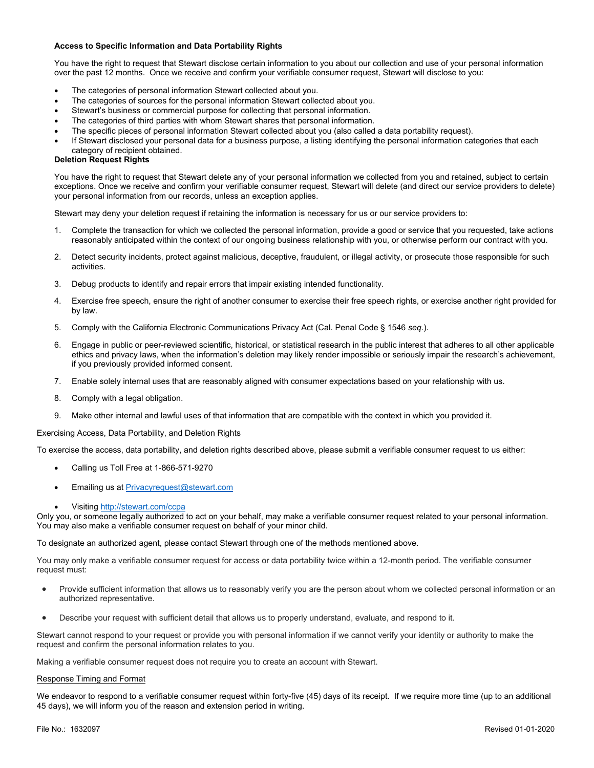#### **Access to Specific Information and Data Portability Rights**

You have the right to request that Stewart disclose certain information to you about our collection and use of your personal information over the past 12 months. Once we receive and confirm your verifiable consumer request, Stewart will disclose to you:

- The categories of personal information Stewart collected about you.
- The categories of sources for the personal information Stewart collected about you.
- Stewart's business or commercial purpose for collecting that personal information.
- The categories of third parties with whom Stewart shares that personal information.
- The specific pieces of personal information Stewart collected about you (also called a data portability request).
- If Stewart disclosed your personal data for a business purpose, a listing identifying the personal information categories that each category of recipient obtained.

#### **Deletion Request Rights**

You have the right to request that Stewart delete any of your personal information we collected from you and retained, subject to certain exceptions. Once we receive and confirm your verifiable consumer request, Stewart will delete (and direct our service providers to delete) your personal information from our records, unless an exception applies.

Stewart may deny your deletion request if retaining the information is necessary for us or our service providers to:

- 1. Complete the transaction for which we collected the personal information, provide a good or service that you requested, take actions reasonably anticipated within the context of our ongoing business relationship with you, or otherwise perform our contract with you.
- 2. Detect security incidents, protect against malicious, deceptive, fraudulent, or illegal activity, or prosecute those responsible for such activities.
- 3. Debug products to identify and repair errors that impair existing intended functionality.
- 4. Exercise free speech, ensure the right of another consumer to exercise their free speech rights, or exercise another right provided for by law.
- 5. Comply with the California Electronic Communications Privacy Act (Cal. Penal Code § 1546 *seq.*).
- 6. Engage in public or peer-reviewed scientific, historical, or statistical research in the public interest that adheres to all other applicable ethics and privacy laws, when the information's deletion may likely render impossible or seriously impair the research's achievement, if you previously provided informed consent.
- 7. Enable solely internal uses that are reasonably aligned with consumer expectations based on your relationship with us.
- 8. Comply with a legal obligation.
- 9. Make other internal and lawful uses of that information that are compatible with the context in which you provided it.

#### Exercising Access, Data Portability, and Deletion Rights

To exercise the access, data portability, and deletion rights described above, please submit a verifiable consumer request to us either:

- Calling us Toll Free at 1-866-571-9270
- Emailing us at **[Privacyrequest@stewart.com](mailto:Privacyrequest@stewart.com)**
- Visiting <http://stewart.com/ccpa>

Only you, or someone legally authorized to act on your behalf, may make a verifiable consumer request related to your personal information. You may also make a verifiable consumer request on behalf of your minor child.

To designate an authorized agent, please contact Stewart through one of the methods mentioned above.

You may only make a verifiable consumer request for access or data portability twice within a 12-month period. The verifiable consumer request must:

- Provide sufficient information that allows us to reasonably verify you are the person about whom we collected personal information or an authorized representative.
- Describe your request with sufficient detail that allows us to properly understand, evaluate, and respond to it.

Stewart cannot respond to your request or provide you with personal information if we cannot verify your identity or authority to make the request and confirm the personal information relates to you.

Making a verifiable consumer request does not require you to create an account with Stewart.

#### Response Timing and Format

We endeavor to respond to a verifiable consumer request within forty-five (45) days of its receipt. If we require more time (up to an additional 45 days), we will inform you of the reason and extension period in writing.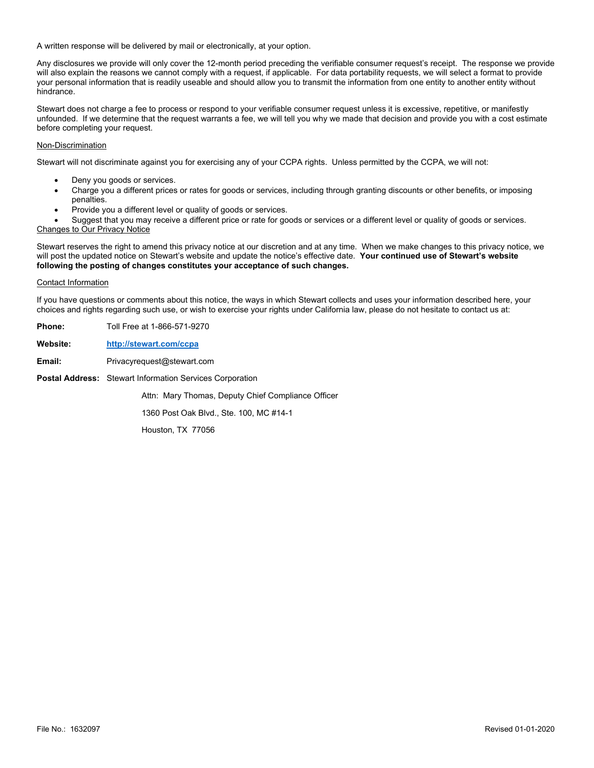A written response will be delivered by mail or electronically, at your option.

Any disclosures we provide will only cover the 12-month period preceding the verifiable consumer request's receipt. The response we provide will also explain the reasons we cannot comply with a request, if applicable. For data portability requests, we will select a format to provide your personal information that is readily useable and should allow you to transmit the information from one entity to another entity without hindrance.

Stewart does not charge a fee to process or respond to your verifiable consumer request unless it is excessive, repetitive, or manifestly unfounded. If we determine that the request warrants a fee, we will tell you why we made that decision and provide you with a cost estimate before completing your request.

#### Non-Discrimination

Stewart will not discriminate against you for exercising any of your CCPA rights. Unless permitted by the CCPA, we will not:

- Deny you goods or services.
- Charge you a different prices or rates for goods or services, including through granting discounts or other benefits, or imposing penalties.
- Provide you a different level or quality of goods or services.

 Suggest that you may receive a different price or rate for goods or services or a different level or quality of goods or services. Changes to Our Privacy Notice

Stewart reserves the right to amend this privacy notice at our discretion and at any time. When we make changes to this privacy notice, we will post the updated notice on Stewart's website and update the notice's effective date. **Your continued use of Stewart's website following the posting of changes constitutes your acceptance of such changes.**

#### Contact Information

If you have questions or comments about this notice, the ways in which Stewart collects and uses your information described here, your choices and rights regarding such use, or wish to exercise your rights under California law, please do not hesitate to contact us at:

| <b>Phone:</b> | Toll Free at 1-866-571-9270                                     |
|---------------|-----------------------------------------------------------------|
| Website:      | http://stewart.com/ccpa                                         |
| Email:        | Privacyrequest@stewart.com                                      |
|               | <b>Postal Address:</b> Stewart Information Services Corporation |
|               | Attn: Mary Thomas, Deputy Chief Compliance Officer              |
|               | 1360 Post Oak Blvd., Ste. 100, MC #14-1                         |
|               | Houston TX 77056                                                |